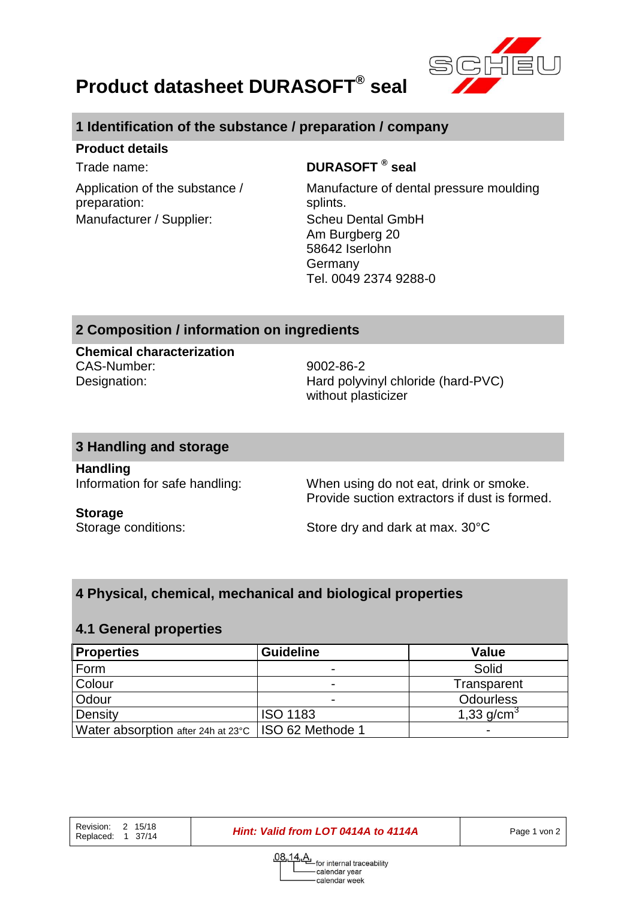

# **Product datasheet DURASOFT® seal**

# **1 Identification of the substance / preparation / company**

#### **Product details**

Application of the substance / preparation: Manufacturer / Supplier: Scheu Dental GmbH

### Trade name: **DURASOFT ® seal**

Manufacture of dental pressure moulding splints. Am Burgberg 20 58642 Iserlohn Germany Tel. 0049 2374 9288-0

#### **2 Composition / information on ingredients**

**Chemical characterization** CAS-Number: 9002-86-2

Designation: Hard polyvinyl chloride (hard-PVC) without plasticizer

#### **3 Handling and storage**

**Handling**

Information for safe handling: When using do not eat, drink or smoke. Provide suction extractors if dust is formed.

# **Storage**

Storage conditions: Store dry and dark at max. 30°C

### **4 Physical, chemical, mechanical and biological properties**

#### **4.1 General properties**

| <b>Properties</b>                                     | <b>Guideline</b> | <b>Value</b>     |
|-------------------------------------------------------|------------------|------------------|
| Form                                                  |                  | Solid            |
| Colour                                                | -                | Transparent      |
| Odour                                                 | -                | <b>Odourless</b> |
| Density                                               | <b>ISO 1183</b>  | 1,33 $q/cm^{3}$  |
| Water absorption after 24h at 23°C   ISO 62 Methode 1 |                  |                  |

**Hint: Valid from LOT 0414A to 4114A Page 1 von 2**